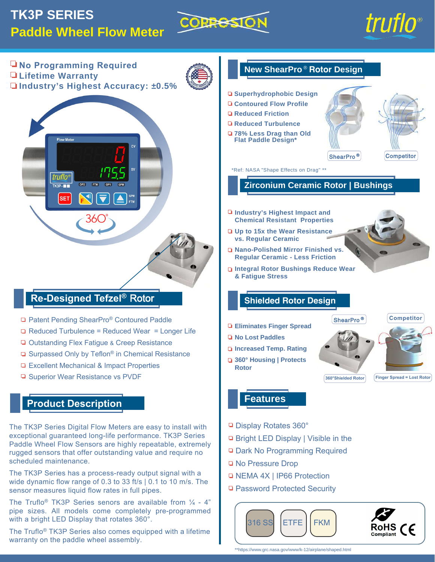# **TK3P SERIES Paddle Wheel Flow Meter**





**No Programming Required New ShearPro** ®  **Rotor Design Lifetime Warranty Industry's Highest Accuracy: ±0.5% Superhydrophobic Design Contoured Flow Profile Reduced Friction Reduced Turbulence 78% Less Drag than Old** w Mete **Flat Paddle Design\*** ShearPro ® **Competitor** \*Ref: NASA "Shape Effects on Drag" \*\* truflo OP2 FTM  $TK3P - 1$  $OP1$ **Zirconium Ceramic Rotor | Bushings** GPM<br>FTM **SET Industry's Highest Impact and Chemical Resistant Properties Up to 15x the Wear Resistance vs. Regular Ceramic Nano-Polished Mirror Finished vs. Regular Ceramic - Less Friction Integral Rotor Bushings Reduce Wear & Fatigue Stress Re-Designed Tefzel®** Rotor **Shielded Rotor Design Competitor** □ Patent Pending ShearPro® Contoured Paddle ShearPro ®**Eliminates Finger Spread** □ Reduced Turbulence = Reduced Wear = Longer Life **No Lost Paddles** □ Outstanding Flex Fatigue & Creep Resistance **Increased Temp. Rating** □ Surpassed Only by Teflon<sup>®</sup> in Chemical Resistance **360° Housing | Protects**  □ Excellent Mechanical & Impact Properties **Rotor Superior Wear Resistance vs PVDF 360°Shielded Rotor Finger Spread = Lost Rotor Construction Features Product Description** Display Rotates 360° The TK3P Series Digital Flow Meters are easy to install with exceptional guaranteed long-life performance. TK3P Series □ Bright LED Display | Visible in the Paddle Wheel Flow Sensors are highly repeatable, extremely □ Dark No Programming Required rugged sensors that offer outstanding value and require no scheduled maintenance. □ No Pressure Drop The TK3P Series has a process-ready output signal with a □ NEMA 4X | IP66 Protection wide dynamic flow range of 0.3 to 33 ft/s | 0.1 to 10 m/s. The □ Password Protected Security sensor measures liquid flow rates in full pipes.

The Truflo<sup>®</sup> TK3P Series senors are available from  $\frac{1}{4}$  - 4" pipe sizes. All models come completely pre-programmed with a bright LED Display that rotates 360°.

The Truflo® TK3P Series also comes equipped with a lifetime warranty on the paddle wheel assembly.

ETFE FKM

316 SS